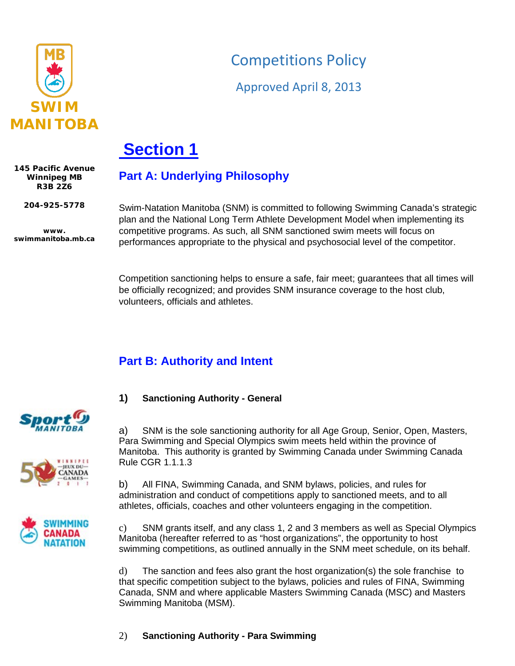

# Competitions Policy

Approved April 8, 2013

# **Section 1**

**145 Pacific Avenue Winnipeg MB R3B 2Z6**

**204-925-5778**

**www. swimmanitoba.mb.ca**

Swim-Natation Manitoba (SNM) is committed to following Swimming Canada's strategic plan and the National Long Term Athlete Development Model when implementing its competitive programs. As such, all SNM sanctioned swim meets will focus on performances appropriate to the physical and psychosocial level of the competitor.

Competition sanctioning helps to ensure a safe, fair meet; guarantees that all times will be officially recognized; and provides SNM insurance coverage to the host club, volunteers, officials and athletes.

# **Part B: Authority and Intent**

**Part A: Underlying Philosophy**

**1) Sanctioning Authority - General**

a) SNM is the sole sanctioning authority for all Age Group, Senior, Open, Masters, Para Swimming and Special Olympics swim meets held within the province of Manitoba. This authority is granted by Swimming Canada under Swimming Canada Rule CGR 1.1.1.3

b) All FINA, Swimming Canada, and SNM bylaws, policies, and rules for administration and conduct of competitions apply to sanctioned meets, and to all athletes, officials, coaches and other volunteers engaging in the competition.

c) SNM grants itself, and any class 1, 2 and 3 members as well as Special Olympics Manitoba (hereafter referred to as "host organizations", the opportunity to host swimming competitions, as outlined annually in the SNM meet schedule, on its behalf.

d) The sanction and fees also grant the host organization(s) the sole franchise to that specific competition subject to the bylaws, policies and rules of FINA, Swimming Canada, SNM and where applicable Masters Swimming Canada (MSC) and Masters Swimming Manitoba (MSM).





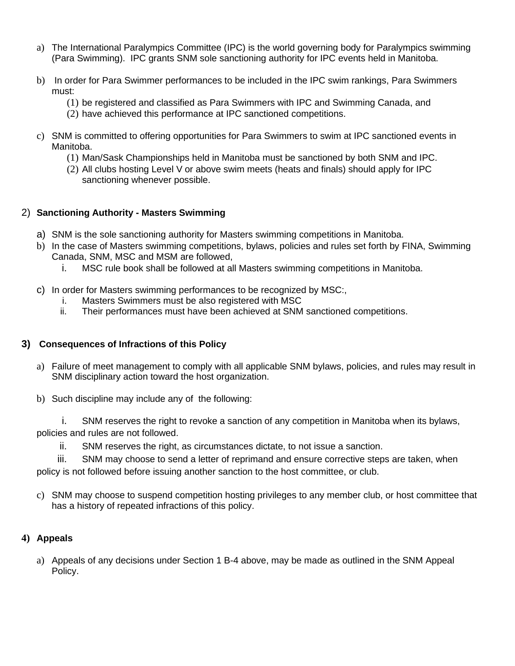- a) The International Paralympics Committee (IPC) is the world governing body for Paralympics swimming (Para Swimming). IPC grants SNM sole sanctioning authority for IPC events held in Manitoba.
- b) In order for Para Swimmer performances to be included in the IPC swim rankings, Para Swimmers must:
	- (1) be registered and classified as Para Swimmers with IPC and Swimming Canada, and
	- (2) have achieved this performance at IPC sanctioned competitions.
- c) SNM is committed to offering opportunities for Para Swimmers to swim at IPC sanctioned events in Manitoba.
	- (1) Man/Sask Championships held in Manitoba must be sanctioned by both SNM and IPC.
	- (2) All clubs hosting Level V or above swim meets (heats and finals) should apply for IPC sanctioning whenever possible.

# 2) **Sanctioning Authority - Masters Swimming**

- a) SNM is the sole sanctioning authority for Masters swimming competitions in Manitoba.
- b) In the case of Masters swimming competitions, bylaws, policies and rules set forth by FINA, Swimming Canada, SNM, MSC and MSM are followed,
	- i. MSC rule book shall be followed at all Masters swimming competitions in Manitoba.
- c) In order for Masters swimming performances to be recognized by MSC:,
	- i. Masters Swimmers must be also registered with MSC
	- ii. Their performances must have been achieved at SNM sanctioned competitions.

# **3) Consequences of Infractions of this Policy**

- a) Failure of meet management to comply with all applicable SNM bylaws, policies, and rules may result in SNM disciplinary action toward the host organization.
- b) Such discipline may include any of the following:

i. SNM reserves the right to revoke a sanction of any competition in Manitoba when its bylaws, policies and rules are not followed.

ii. SNM reserves the right, as circumstances dictate, to not issue a sanction.

iii. SNM may choose to send a letter of reprimand and ensure corrective steps are taken, when policy is not followed before issuing another sanction to the host committee, or club.

c) SNM may choose to suspend competition hosting privileges to any member club, or host committee that has a history of repeated infractions of this policy.

# **4) Appeals**

a) Appeals of any decisions under Section 1 B-4 above, may be made as outlined in the SNM Appeal Policy.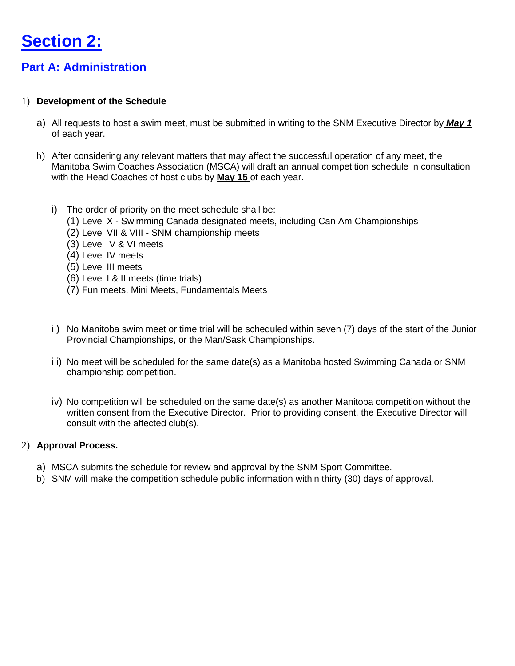

# **Part A: Administration**

#### 1) **Development of the Schedule**

- a) All requests to host a swim meet, must be submitted in writing to the SNM Executive Director by *May 1* of each year.
- b) After considering any relevant matters that may affect the successful operation of any meet, the Manitoba Swim Coaches Association (MSCA) will draft an annual competition schedule in consultation with the Head Coaches of host clubs by **May 15** of each year.
	- i) The order of priority on the meet schedule shall be:
		- (1) Level X Swimming Canada designated meets, including Can Am Championships
		- (2) Level VII & VIII SNM championship meets
		- (3) Level V & VI meets
		- (4) Level IV meets
		- (5) Level III meets
		- (6) Level I & II meets (time trials)
		- (7) Fun meets, Mini Meets, Fundamentals Meets
	- ii) No Manitoba swim meet or time trial will be scheduled within seven (7) days of the start of the Junior Provincial Championships, or the Man/Sask Championships.
	- iii) No meet will be scheduled for the same date(s) as a Manitoba hosted Swimming Canada or SNM championship competition.
	- iv) No competition will be scheduled on the same date(s) as another Manitoba competition without the written consent from the Executive Director. Prior to providing consent, the Executive Director will consult with the affected club(s).

#### 2) **Approval Process.**

- a) MSCA submits the schedule for review and approval by the SNM Sport Committee.
- b) SNM will make the competition schedule public information within thirty (30) days of approval.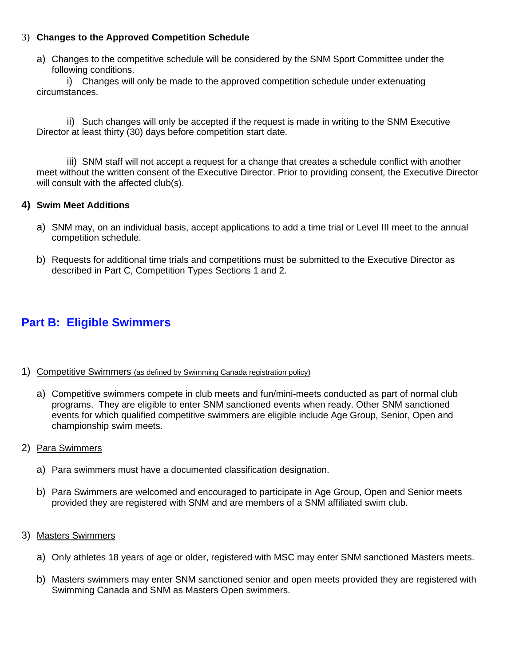# 3) **Changes to the Approved Competition Schedule**

a) Changes to the competitive schedule will be considered by the SNM Sport Committee under the following conditions.

i) Changes will only be made to the approved competition schedule under extenuating circumstances.

ii) Such changes will only be accepted if the request is made in writing to the SNM Executive Director at least thirty (30) days before competition start date.

iii) SNM staff will not accept a request for a change that creates a schedule conflict with another meet without the written consent of the Executive Director. Prior to providing consent, the Executive Director will consult with the affected club(s).

### **4) Swim Meet Additions**

- a) SNM may, on an individual basis, accept applications to add a time trial or Level III meet to the annual competition schedule.
- b) Requests for additional time trials and competitions must be submitted to the Executive Director as described in Part C, Competition Types Sections 1 and 2.

# **Part B: Eligible Swimmers**

- 1) Competitive Swimmers (as defined by Swimming Canada registration policy)
	- a) Competitive swimmers compete in club meets and fun/mini-meets conducted as part of normal club programs. They are eligible to enter SNM sanctioned events when ready. Other SNM sanctioned events for which qualified competitive swimmers are eligible include Age Group, Senior, Open and championship swim meets.
- 2) Para Swimmers
	- a) Para swimmers must have a documented classification designation.
	- b) Para Swimmers are welcomed and encouraged to participate in Age Group, Open and Senior meets provided they are registered with SNM and are members of a SNM affiliated swim club.
- 3) Masters Swimmers
	- a) Only athletes 18 years of age or older, registered with MSC may enter SNM sanctioned Masters meets.
	- b) Masters swimmers may enter SNM sanctioned senior and open meets provided they are registered with Swimming Canada and SNM as Masters Open swimmers.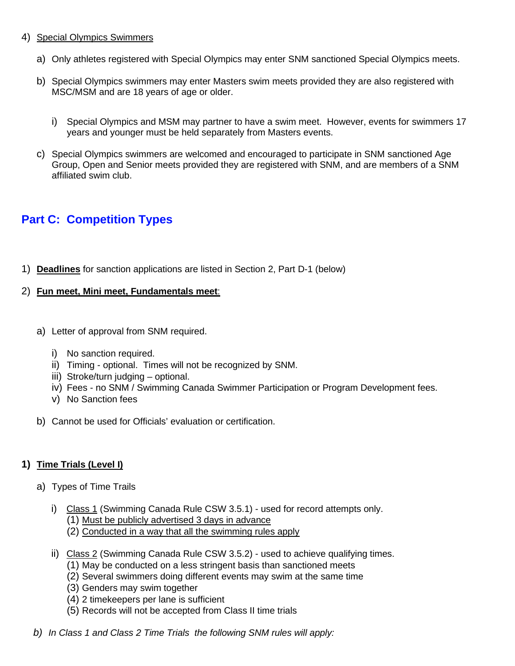### 4) Special Olympics Swimmers

- a) Only athletes registered with Special Olympics may enter SNM sanctioned Special Olympics meets.
- b) Special Olympics swimmers may enter Masters swim meets provided they are also registered with MSC/MSM and are 18 years of age or older.
	- i) Special Olympics and MSM may partner to have a swim meet. However, events for swimmers 17 years and younger must be held separately from Masters events.
- c) Special Olympics swimmers are welcomed and encouraged to participate in SNM sanctioned Age Group, Open and Senior meets provided they are registered with SNM, and are members of a SNM affiliated swim club.

# **Part C: Competition Types**

1) **Deadlines** for sanction applications are listed in Section 2, Part D-1 (below)

# 2) **Fun meet, Mini meet, Fundamentals meet**:

- a) Letter of approval from SNM required.
	- i) No sanction required.
	- ii) Timing optional. Times will not be recognized by SNM.
	- iii) Stroke/turn judging optional.
	- iv) Fees no SNM / Swimming Canada Swimmer Participation or Program Development fees.
	- v) No Sanction fees
- b) Cannot be used for Officials' evaluation or certification.

# **1) Time Trials (Level I)**

- a) Types of Time Trails
	- i) Class 1 (Swimming Canada Rule CSW 3.5.1) used for record attempts only.
		- (1) Must be publicly advertised 3 days in advance
		- (2) Conducted in a way that all the swimming rules apply
	- ii) Class 2 (Swimming Canada Rule CSW 3.5.2) used to achieve qualifying times.
		- (1) May be conducted on a less stringent basis than sanctioned meets
		- (2) Several swimmers doing different events may swim at the same time
		- (3) Genders may swim together
		- (4) 2 timekeepers per lane is sufficient
		- (5) Records will not be accepted from Class II time trials
- *b) In Class 1 and Class 2 Time Trials the following SNM rules will apply:*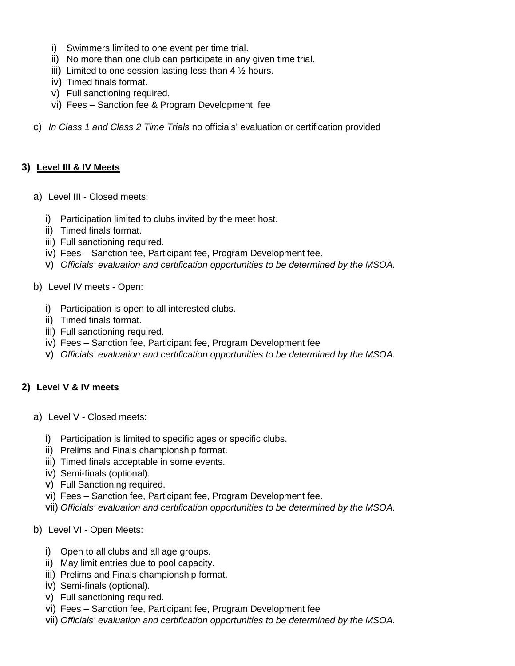- i) Swimmers limited to one event per time trial.
- ii) No more than one club can participate in any given time trial.
- iii) Limited to one session lasting less than  $4\frac{1}{2}$  hours.
- iv) Timed finals format.
- v) Full sanctioning required.
- vi) Fees Sanction fee & Program Development fee
- c) *In Class 1 and Class 2 Time Trials* no officials' evaluation or certification provided

#### **3) Level III & IV Meets**

- a) Level III Closed meets:
	- i) Participation limited to clubs invited by the meet host.
	- ii) Timed finals format.
	- iii) Full sanctioning required.
	- iv) Fees Sanction fee, Participant fee, Program Development fee.
	- v) *Officials' evaluation and certification opportunities to be determined by the MSOA.*
- b) Level IV meets Open:
	- i) Participation is open to all interested clubs.
	- ii) Timed finals format.
	- iii) Full sanctioning required.
	- iv) Fees Sanction fee, Participant fee, Program Development fee
	- v) *Officials' evaluation and certification opportunities to be determined by the MSOA.*

#### **2) Level V & IV meets**

- a) Level V Closed meets:
	- i) Participation is limited to specific ages or specific clubs.
	- ii) Prelims and Finals championship format.
	- iii) Timed finals acceptable in some events.
	- iv) Semi-finals (optional).
	- v) Full Sanctioning required.
	- vi) Fees Sanction fee, Participant fee, Program Development fee.
	- vii) *Officials' evaluation and certification opportunities to be determined by the MSOA.*
- b) Level VI Open Meets:
	- i) Open to all clubs and all age groups.
	- ii) May limit entries due to pool capacity.
	- iii) Prelims and Finals championship format.
	- iv) Semi-finals (optional).
	- v) Full sanctioning required.
	- vi) Fees Sanction fee, Participant fee, Program Development fee
	- vii) *Officials' evaluation and certification opportunities to be determined by the MSOA.*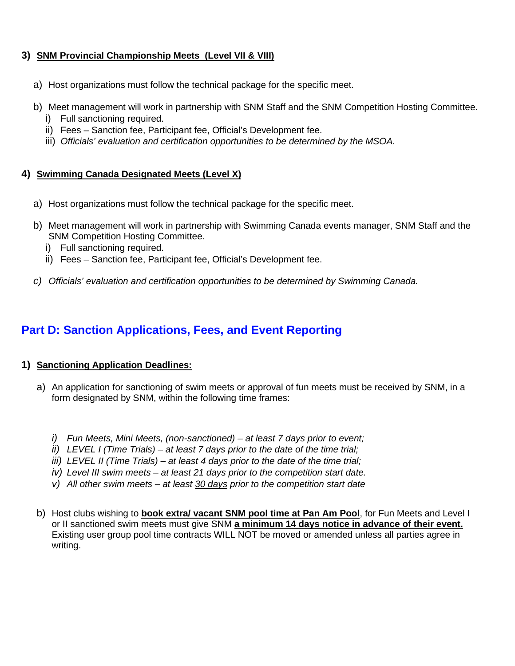# **3) SNM Provincial Championship Meets (Level VII & VIII)**

- a) Host organizations must follow the technical package for the specific meet.
- b) Meet management will work in partnership with SNM Staff and the SNM Competition Hosting Committee.
	- i) Full sanctioning required.
	- ii) Fees Sanction fee, Participant fee, Official's Development fee.
	- iii) *Officials' evaluation and certification opportunities to be determined by the MSOA.*

# **4) Swimming Canada Designated Meets (Level X)**

- a) Host organizations must follow the technical package for the specific meet.
- b) Meet management will work in partnership with Swimming Canada events manager, SNM Staff and the SNM Competition Hosting Committee.
	- i) Full sanctioning required.
	- ii) Fees Sanction fee, Participant fee, Official's Development fee.
- *c) Officials' evaluation and certification opportunities to be determined by Swimming Canada.*

# **Part D: Sanction Applications, Fees, and Event Reporting**

# **1) Sanctioning Application Deadlines:**

- a) An application for sanctioning of swim meets or approval of fun meets must be received by SNM, in a form designated by SNM, within the following time frames:
	- *i) Fun Meets, Mini Meets, (non-sanctioned) – at least 7 days prior to event;*
	- *ii) LEVEL I (Time Trials) – at least 7 days prior to the date of the time trial;*
	- *iii) LEVEL II (Time Trials) – at least 4 days prior to the date of the time trial;*
	- *iv) Level III swim meets – at least 21 days prior to the competition start date.*
	- *v) All other swim meets – at least 30 days prior to the competition start date*
- b) Host clubs wishing to **book extra/ vacant SNM pool time at Pan Am Pool**, for Fun Meets and Level I or II sanctioned swim meets must give SNM **a minimum 14 days notice in advance of their event.** Existing user group pool time contracts WILL NOT be moved or amended unless all parties agree in writing.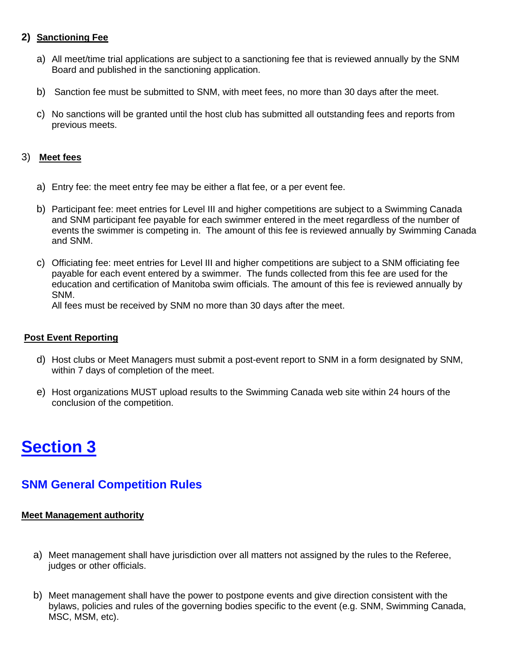# **2) Sanctioning Fee**

- a) All meet/time trial applications are subject to a sanctioning fee that is reviewed annually by the SNM Board and published in the sanctioning application.
- b) Sanction fee must be submitted to SNM, with meet fees, no more than 30 days after the meet.
- c) No sanctions will be granted until the host club has submitted all outstanding fees and reports from previous meets.

### 3) **Meet fees**

- a) Entry fee: the meet entry fee may be either a flat fee, or a per event fee.
- b) Participant fee: meet entries for Level III and higher competitions are subject to a Swimming Canada and SNM participant fee payable for each swimmer entered in the meet regardless of the number of events the swimmer is competing in. The amount of this fee is reviewed annually by Swimming Canada and SNM.
- c) Officiating fee: meet entries for Level III and higher competitions are subject to a SNM officiating fee payable for each event entered by a swimmer. The funds collected from this fee are used for the education and certification of Manitoba swim officials. The amount of this fee is reviewed annually by SNM.

All fees must be received by SNM no more than 30 days after the meet.

#### **Post Event Reporting**

- d) Host clubs or Meet Managers must submit a post-event report to SNM in a form designated by SNM, within 7 days of completion of the meet.
- e) Host organizations MUST upload results to the Swimming Canada web site within 24 hours of the conclusion of the competition.

# **Section 3**

# **SNM General Competition Rules**

#### **Meet Management authority**

- a) Meet management shall have jurisdiction over all matters not assigned by the rules to the Referee, judges or other officials.
- b) Meet management shall have the power to postpone events and give direction consistent with the bylaws, policies and rules of the governing bodies specific to the event (e.g. SNM, Swimming Canada, MSC, MSM, etc).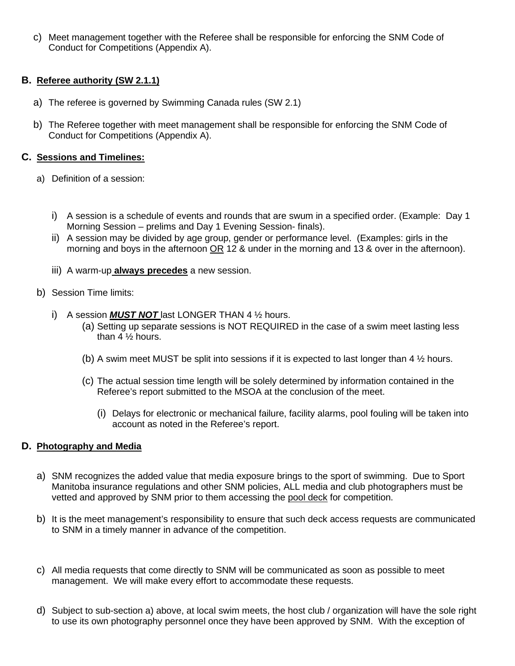c) Meet management together with the Referee shall be responsible for enforcing the SNM Code of Conduct for Competitions (Appendix A).

# **B. Referee authority (SW 2.1.1)**

- a) The referee is governed by Swimming Canada rules (SW 2.1)
- b) The Referee together with meet management shall be responsible for enforcing the SNM Code of Conduct for Competitions (Appendix A).

#### **C. Sessions and Timelines:**

- a) Definition of a session:
	- i) A session is a schedule of events and rounds that are swum in a specified order. (Example: Day 1 Morning Session – prelims and Day 1 Evening Session- finals).
	- ii) A session may be divided by age group, gender or performance level. (Examples: girls in the morning and boys in the afternoon OR 12 & under in the morning and 13 & over in the afternoon).
	- iii) A warm-up **always precedes** a new session.
- b) Session Time limits:
	- i) A session *MUST NOT* last LONGER THAN 4 ½ hours.
		- (a) Setting up separate sessions is NOT REQUIRED in the case of a swim meet lasting less than 4 ½ hours.
		- (b) A swim meet MUST be split into sessions if it is expected to last longer than 4 ½ hours.
		- (c) The actual session time length will be solely determined by information contained in the Referee's report submitted to the MSOA at the conclusion of the meet.
			- (i) Delays for electronic or mechanical failure, facility alarms, pool fouling will be taken into account as noted in the Referee's report.

#### **D. Photography and Media**

- a) SNM recognizes the added value that media exposure brings to the sport of swimming. Due to Sport Manitoba insurance regulations and other SNM policies, ALL media and club photographers must be vetted and approved by SNM prior to them accessing the pool deck for competition.
- b) It is the meet management's responsibility to ensure that such deck access requests are communicated to SNM in a timely manner in advance of the competition.
- c) All media requests that come directly to SNM will be communicated as soon as possible to meet management. We will make every effort to accommodate these requests.
- d) Subject to sub-section a) above, at local swim meets, the host club / organization will have the sole right to use its own photography personnel once they have been approved by SNM. With the exception of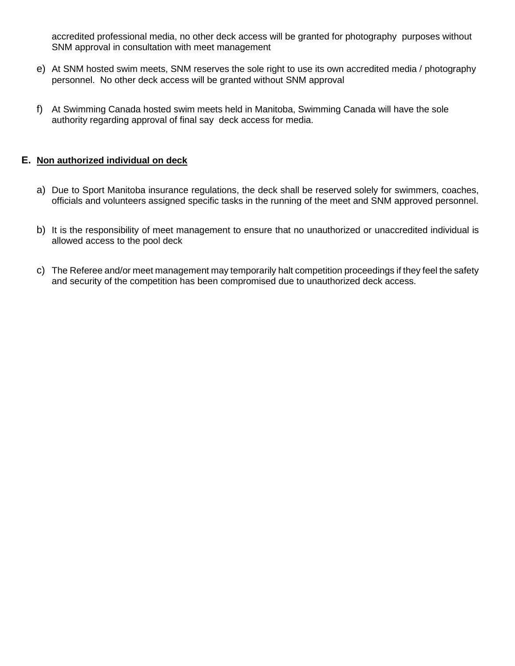accredited professional media, no other deck access will be granted for photography purposes without SNM approval in consultation with meet management

- e) At SNM hosted swim meets, SNM reserves the sole right to use its own accredited media / photography personnel. No other deck access will be granted without SNM approval
- f) At Swimming Canada hosted swim meets held in Manitoba, Swimming Canada will have the sole authority regarding approval of final say deck access for media.

### **E. Non authorized individual on deck**

- a) Due to Sport Manitoba insurance regulations, the deck shall be reserved solely for swimmers, coaches, officials and volunteers assigned specific tasks in the running of the meet and SNM approved personnel.
- b) It is the responsibility of meet management to ensure that no unauthorized or unaccredited individual is allowed access to the pool deck
- c) The Referee and/or meet management may temporarily halt competition proceedings if they feel the safety and security of the competition has been compromised due to unauthorized deck access.